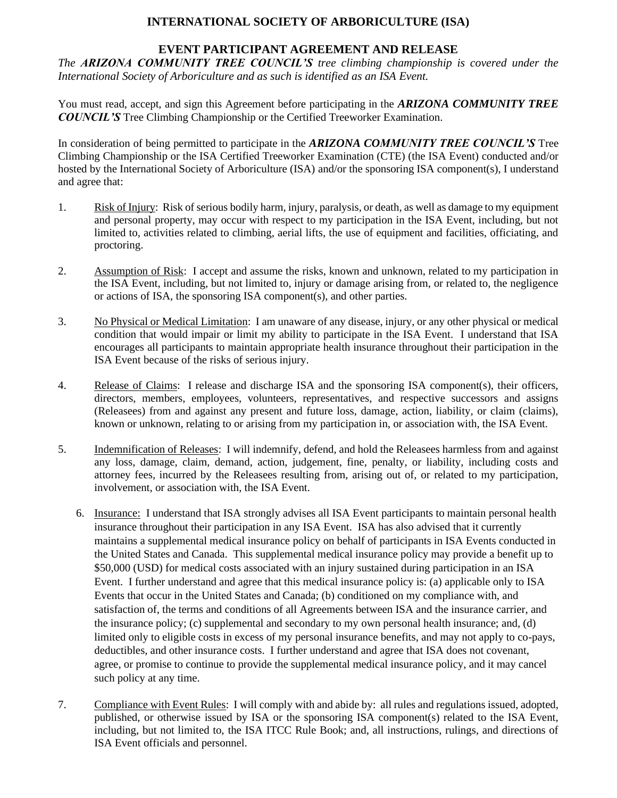# **INTERNATIONAL SOCIETY OF ARBORICULTURE (ISA)**

### **EVENT PARTICIPANT AGREEMENT AND RELEASE**

*The ARIZONA COMMUNITY TREE COUNCIL'S tree climbing championship is covered under the International Society of Arboriculture and as such is identified as an ISA Event.*

You must read, accept, and sign this Agreement before participating in the *ARIZONA COMMUNITY TREE COUNCIL'S* Tree Climbing Championship or the Certified Treeworker Examination.

In consideration of being permitted to participate in the *ARIZONA COMMUNITY TREE COUNCIL'S* Tree Climbing Championship or the ISA Certified Treeworker Examination (CTE) (the ISA Event) conducted and/or hosted by the International Society of Arboriculture (ISA) and/or the sponsoring ISA component(s), I understand and agree that:

- 1. Risk of Injury: Risk of serious bodily harm, injury, paralysis, or death, as well as damage to my equipment and personal property, may occur with respect to my participation in the ISA Event, including, but not limited to, activities related to climbing, aerial lifts, the use of equipment and facilities, officiating, and proctoring.
- 2. Assumption of Risk: I accept and assume the risks, known and unknown, related to my participation in the ISA Event, including, but not limited to, injury or damage arising from, or related to, the negligence or actions of ISA, the sponsoring ISA component(s), and other parties.
- 3. No Physical or Medical Limitation: I am unaware of any disease, injury, or any other physical or medical condition that would impair or limit my ability to participate in the ISA Event. I understand that ISA encourages all participants to maintain appropriate health insurance throughout their participation in the ISA Event because of the risks of serious injury.
- 4. Release of Claims: I release and discharge ISA and the sponsoring ISA component(s), their officers, directors, members, employees, volunteers, representatives, and respective successors and assigns (Releasees) from and against any present and future loss, damage, action, liability, or claim (claims), known or unknown, relating to or arising from my participation in, or association with, the ISA Event.
- 5. Indemnification of Releases: I will indemnify, defend, and hold the Releasees harmless from and against any loss, damage, claim, demand, action, judgement, fine, penalty, or liability, including costs and attorney fees, incurred by the Releasees resulting from, arising out of, or related to my participation, involvement, or association with, the ISA Event.
	- 6. Insurance: I understand that ISA strongly advises all ISA Event participants to maintain personal health insurance throughout their participation in any ISA Event. ISA has also advised that it currently maintains a supplemental medical insurance policy on behalf of participants in ISA Events conducted in the United States and Canada. This supplemental medical insurance policy may provide a benefit up to \$50,000 (USD) for medical costs associated with an injury sustained during participation in an ISA Event. I further understand and agree that this medical insurance policy is: (a) applicable only to ISA Events that occur in the United States and Canada; (b) conditioned on my compliance with, and satisfaction of, the terms and conditions of all Agreements between ISA and the insurance carrier, and the insurance policy; (c) supplemental and secondary to my own personal health insurance; and, (d) limited only to eligible costs in excess of my personal insurance benefits, and may not apply to co-pays, deductibles, and other insurance costs. I further understand and agree that ISA does not covenant, agree, or promise to continue to provide the supplemental medical insurance policy, and it may cancel such policy at any time.
- 7. Compliance with Event Rules: I will comply with and abide by: all rules and regulations issued, adopted, published, or otherwise issued by ISA or the sponsoring ISA component(s) related to the ISA Event, including, but not limited to, the ISA ITCC Rule Book; and, all instructions, rulings, and directions of ISA Event officials and personnel.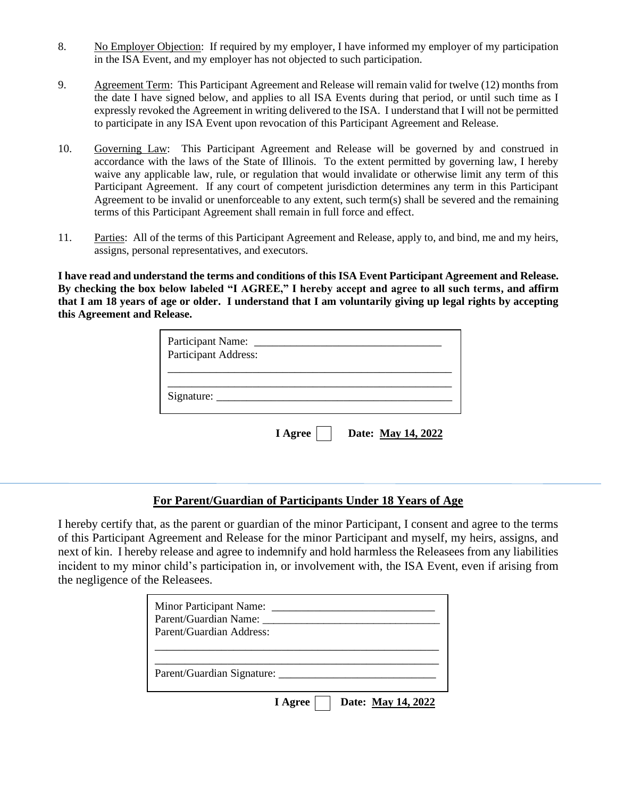- 8. No Employer Objection: If required by my employer, I have informed my employer of my participation in the ISA Event, and my employer has not objected to such participation.
- 9. Agreement Term: This Participant Agreement and Release will remain valid for twelve (12) months from the date I have signed below, and applies to all ISA Events during that period, or until such time as I expressly revoked the Agreement in writing delivered to the ISA. I understand that I will not be permitted to participate in any ISA Event upon revocation of this Participant Agreement and Release.
- 10. Governing Law: This Participant Agreement and Release will be governed by and construed in accordance with the laws of the State of Illinois. To the extent permitted by governing law, I hereby waive any applicable law, rule, or regulation that would invalidate or otherwise limit any term of this Participant Agreement. If any court of competent jurisdiction determines any term in this Participant Agreement to be invalid or unenforceable to any extent, such term(s) shall be severed and the remaining terms of this Participant Agreement shall remain in full force and effect.
- 11. Parties: All of the terms of this Participant Agreement and Release, apply to, and bind, me and my heirs, assigns, personal representatives, and executors.

**I have read and understand the terms and conditions of this ISA Event Participant Agreement and Release. By checking the box below labeled "I AGREE," I hereby accept and agree to all such terms, and affirm that I am 18 years of age or older. I understand that I am voluntarily giving up legal rights by accepting this Agreement and Release.** 

| Participant Name:<br>Participant Address: |         |                    |
|-------------------------------------------|---------|--------------------|
| Signature:                                |         |                    |
|                                           | I Agree | Date: May 14, 2022 |

#### **For Parent/Guardian of Participants Under 18 Years of Age**

I hereby certify that, as the parent or guardian of the minor Participant, I consent and agree to the terms of this Participant Agreement and Release for the minor Participant and myself, my heirs, assigns, and next of kin. I hereby release and agree to indemnify and hold harmless the Releasees from any liabilities incident to my minor child's participation in, or involvement with, the ISA Event, even if arising from the negligence of the Releasees.

| Parent/Guardian Name:      |  |  |  |
|----------------------------|--|--|--|
| Parent/Guardian Address:   |  |  |  |
|                            |  |  |  |
|                            |  |  |  |
| Parent/Guardian Signature: |  |  |  |
|                            |  |  |  |